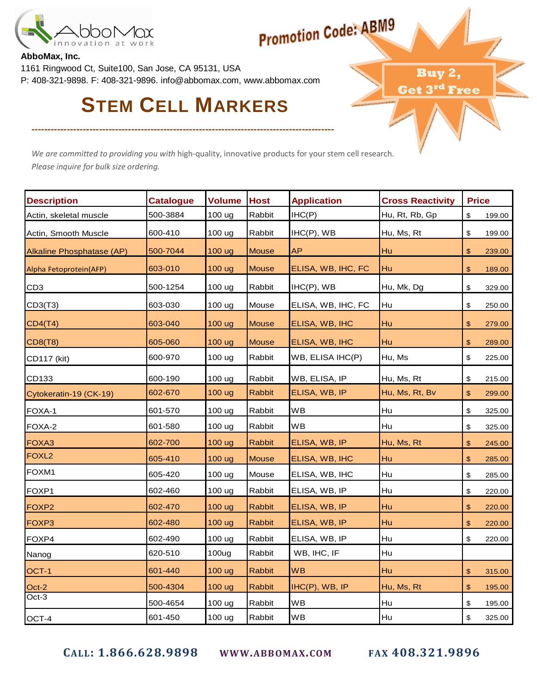

# **Promotion Code: ABM9**

Buy 2, Get 3rd Free

#### **AbboMax, Inc.**

1161 Ringwood Ct, Suite100, San Jose, CA 95131, USA P: 408-321-9898. F: 408-321-9896. info@abbomax.com, www.abbomax.com

## **STEM CELL MARKERS**

----------------------------------------------------------------------------------------------

We are committed to providing you with high-quality, innovative products for your stem cell research. Please inquire for bulk size ordering.

| <b>Description</b>        | <b>Catalogue</b> | <b>Volume</b> | <b>Host</b>   | <b>Application</b> | <b>Cross Reactivity</b> | <b>Price</b>            |        |
|---------------------------|------------------|---------------|---------------|--------------------|-------------------------|-------------------------|--------|
| Actin, skeletal muscle    | 500-3884         | 100 ug        | Rabbit        | IHC(P)             | Hu, Rt, Rb, Gp          | $\sqrt[6]{\frac{1}{2}}$ | 199.00 |
| Actin, Smooth Muscle      | 600-410          | 100 ug        | Rabbit        | $IHC(P)$ , WB      | Hu, Ms, Rt              | \$                      | 199.00 |
| Alkaline Phosphatase (AP) | 500-7044         | 100 ug        | <b>Mouse</b>  | <b>AP</b>          | Hu                      | $\mathfrak{S}$          | 239.00 |
| Alpha Fetoprotein(AFP)    | 603-010          | 100 ug        | <b>Mouse</b>  | ELISA, WB, IHC, FC | Hu                      | $\mathfrak{S}$          | 189.00 |
| CD <sub>3</sub>           | 500-1254         | 100 ug        | Rabbit        | IHC(P), WB         | Hu, Mk, Dg              | \$                      | 329.00 |
| CD3(T3)                   | 603-030          | 100 ug        | Mouse         | ELISA, WB, IHC, FC | Hu                      | \$                      | 250.00 |
| CD4(T4)                   | 603-040          | 100 ug        | <b>Mouse</b>  | ELISA, WB, IHC     | Hu                      | $\sqrt{3}$              | 279.00 |
| <b>CD8(T8)</b>            | 605-060          | 100 ug        | <b>Mouse</b>  | ELISA, WB, IHC     | Hu                      | $\mathfrak{s}$          | 289.00 |
| CD117 (kit)               | 600-970          | 100 ug        | Rabbit        | WB, ELISA IHC(P)   | Hu, Ms                  | $\,$                    | 225.00 |
| CD133                     | 600-190          | 100 ug        | Rabbit        | WB, ELISA, IP      | Hu, Ms, Rt              | \$                      | 215.00 |
| Cytokeratin-19 (CK-19)    | 602-670          | 100 ug        | <b>Rabbit</b> | ELISA, WB, IP      | Hu, Ms, Rt, Bv          | $\, \, \$$              | 299.00 |
| FOXA-1                    | 601-570          | 100 ug        | Rabbit        | <b>WB</b>          | Hu                      | \$                      | 325.00 |
| FOXA-2                    | 601-580          | 100 ug        | Rabbit        | <b>WB</b>          | Hu                      | \$                      | 325.00 |
| FOXA3                     | 602-700          | 100 ug        | <b>Rabbit</b> | ELISA, WB, IP      | Hu, Ms, Rt              | $\frac{2}{3}$           | 245.00 |
| FOXL <sub>2</sub>         | 605-410          | 100 ug        | <b>Mouse</b>  | ELISA, WB, IHC     | Hu                      | $\mathfrak{F}$          | 285.00 |
| FOXM1                     | 605-420          | 100 ug        | Mouse         | ELISA, WB, IHC     | Hu                      | \$                      | 285.00 |
| FOXP1                     | 602-460          | 100 ug        | Rabbit        | ELISA, WB, IP      | Hu                      | \$                      | 220.00 |
| FOXP <sub>2</sub>         | 602-470          | 100 ug        | <b>Rabbit</b> | ELISA, WB, IP      | Hu                      | $\frac{2}{3}$           | 220.00 |
| FOXP3                     | 602-480          | 100 ug        | <b>Rabbit</b> | ELISA, WB, IP      | Hu                      | \$                      | 220.00 |
| FOXP4                     | 602-490          | 100 ug        | Rabbit        | ELISA, WB, IP      | Hu                      | \$                      | 220.00 |
| Nanog                     | 620-510          | 100ug         | Rabbit        | WB, IHC, IF        | Hu                      |                         |        |
| OCT-1                     | 601-440          | 100 ug        | <b>Rabbit</b> | <b>WB</b>          | Hu                      | $\mathfrak{S}$          | 315.00 |
| $Oct-2$                   | 500-4304         | 100 ug        | <b>Rabbit</b> | IHC(P), WB, IP     | Hu, Ms, Rt              | $\sqrt{3}$              | 195.00 |
| Oct-3                     | 500-4654         | 100 ug        | Rabbit        | <b>WB</b>          | Hu                      | \$                      | 195.00 |
| OCT-4                     | 601-450          | 100 ug        | Rabbit        | <b>WB</b>          | Hu                      | \$                      | 325.00 |

CALL: 1.866.628.9898 WWW.ABBOMAX.COM FAX 408.321.9896